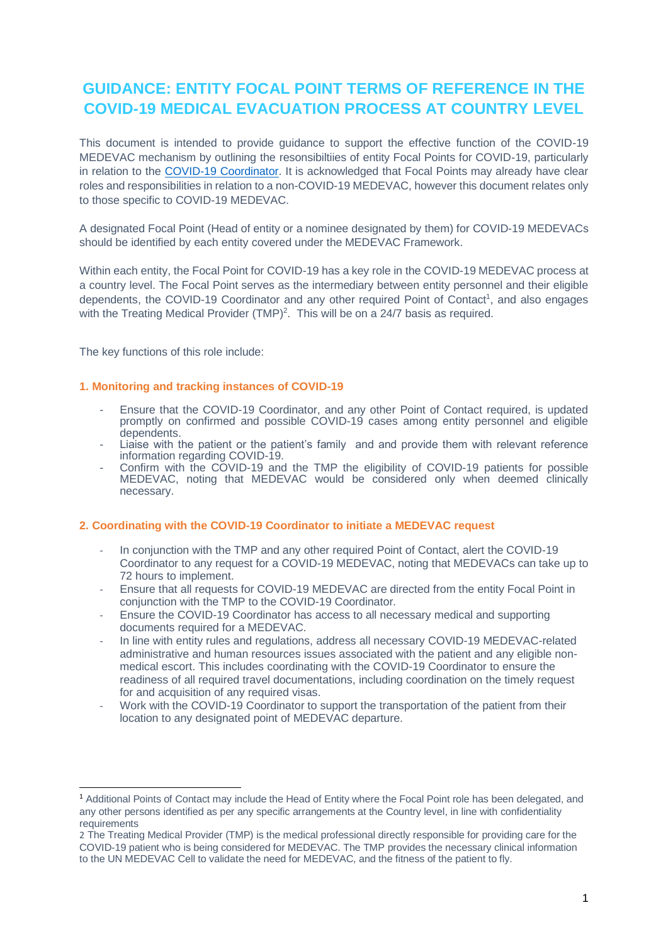# **GUIDANCE: ENTITY FOCAL POINT TERMS OF REFERENCE IN THE COVID-19 MEDICAL EVACUATION PROCESS AT COUNTRY LEVEL**

This document is intended to provide guidance to support the effective function of the COVID-19 MEDEVAC mechanism by outlining the resonsibiltiies of entity Focal Points for COVID-19, particularly in relation to the [COVID-19 Coordinator.](https://www.un.org/en/coronavirus/covid-19-coordinators) It is acknowledged that Focal Points may already have clear roles and responsibilities in relation to a non-COVID-19 MEDEVAC, however this document relates only to those specific to COVID-19 MEDEVAC.

A designated Focal Point (Head of entity or a nominee designated by them) for COVID-19 MEDEVACs should be identified by each entity covered under the MEDEVAC Framework.

Within each entity, the Focal Point for COVID-19 has a key role in the COVID-19 MEDEVAC process at a country level. The Focal Point serves as the intermediary between entity personnel and their eligible dependents, the COVID-19 Coordinator and any other required Point of Contact<sup>1</sup>, and also engages with the Treating Medical Provider  $(TMP)^2$ . This will be on a 24/7 basis as required.

The key functions of this role include:

## **1. Monitoring and tracking instances of COVID-19**

- Ensure that the COVID-19 Coordinator, and any other Point of Contact required, is updated promptly on confirmed and possible COVID-19 cases among entity personnel and eligible dependents.
- Liaise with the patient or the patient's family and and provide them with relevant reference information regarding COVID-19.
- Confirm with the COVID-19 and the TMP the eligibility of COVID-19 patients for possible MEDEVAC, noting that MEDEVAC would be considered only when deemed clinically necessary.

#### **2. Coordinating with the COVID-19 Coordinator to initiate a MEDEVAC request**

- In conjunction with the TMP and any other required Point of Contact, alert the COVID-19 Coordinator to any request for a COVID-19 MEDEVAC, noting that MEDEVACs can take up to 72 hours to implement.
- Ensure that all requests for COVID-19 MEDEVAC are directed from the entity Focal Point in conjunction with the TMP to the COVID-19 Coordinator.
- Ensure the COVID-19 Coordinator has access to all necessary medical and supporting documents required for a MEDEVAC.
- In line with entity rules and regulations, address all necessary COVID-19 MEDEVAC-related administrative and human resources issues associated with the patient and any eligible nonmedical escort. This includes coordinating with the COVID-19 Coordinator to ensure the readiness of all required travel documentations, including coordination on the timely request for and acquisition of any required visas.
- Work with the COVID-19 Coordinator to support the transportation of the patient from their location to any designated point of MEDEVAC departure.

<sup>1</sup> Additional Points of Contact may include the Head of Entity where the Focal Point role has been delegated, and any other persons identified as per any specific arrangements at the Country level, in line with confidentiality requirements

<sup>2</sup> The Treating Medical Provider (TMP) is the medical professional directly responsible for providing care for the COVID-19 patient who is being considered for MEDEVAC. The TMP provides the necessary clinical information to the UN MEDEVAC Cell to validate the need for MEDEVAC, and the fitness of the patient to fly.